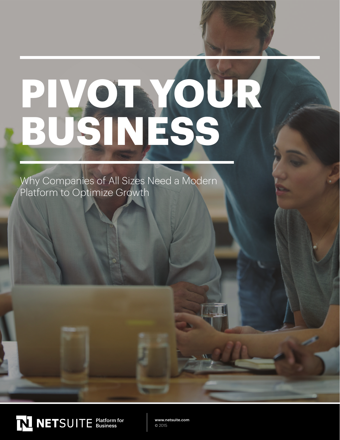# **PIVOT YOUR BUSINESS**

Why Companies of All Sizes Need a Modern Platform to Optimize Growth



www.netsuite.com © 2015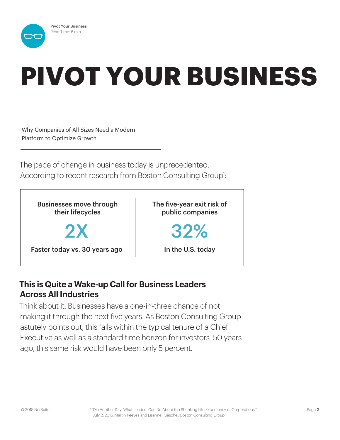## **PIVOT YOUR BUSINESS**

Why Companies of All Sizes Need a Modern Platform to Optimize Growth

The pace of change in business today is unprecedented. According to recent research from Boston Consulting Group<sup>1</sup>:



#### **This is Quite a Wake-up Call for Business Leaders Across All Industries**

Think about it. Businesses have a one-in-three chance of not making it through the next five years. As Boston Consulting Group astutely points out, this falls within the typical tenure of a Chief Executive as well as a standard time horizon for investors. 50 years ago, this same risk would have been only 5 percent.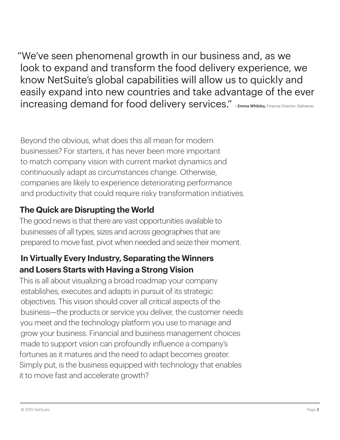"We've seen phenomenal growth in our business and, as we look to expand and transform the food delivery experience, we know NetSuite's global capabilities will allow us to quickly and easily expand into new countries and take advantage of the ever increasing demand for food delivery services." - Emma Whibley, Finance Director, Deliveroo

Beyond the obvious, what does this all mean for modern businesses? For starters, it has never been more important to match company vision with current market dynamics and continuously adapt as circumstances change. Otherwise, companies are likely to experience deteriorating performance and productivity that could require risky transformation initiatives.

#### **The Quick are Disrupting the World**

The good news is that there are vast opportunities available to businesses of all types, sizes and across geographies that are prepared to move fast, pivot when needed and seize their moment.

#### **In Virtually Every Industry, Separating the Winners and Losers Starts with Having a Strong Vision**

This is all about visualizing a broad roadmap your company establishes, executes and adapts in pursuit of its strategic objectives. This vision should cover all critical aspects of the business—the products or service you deliver, the customer needs you meet and the technology platform you use to manage and grow your business. Financial and business management choices made to support vision can profoundly influence a company's fortunes as it matures and the need to adapt becomes greater. Simply put, is the business equipped with technology that enables it to move fast and accelerate growth?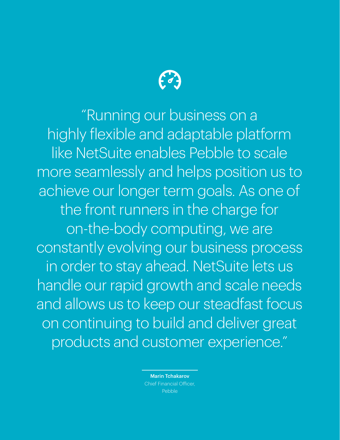

"Running our business on a highly flexible and adaptable platform like NetSuite enables Pebble to scale more seamlessly and helps position us to achieve our longer term goals. As one of the front runners in the charge for on-the-body computing, we are constantly evolving our business process in order to stay ahead. NetSuite lets us handle our rapid growth and scale needs and allows us to keep our steadfast focus on continuing to build and deliver great products and customer experience."

> Marin Tchakarov Chief Financial Officer, Pebble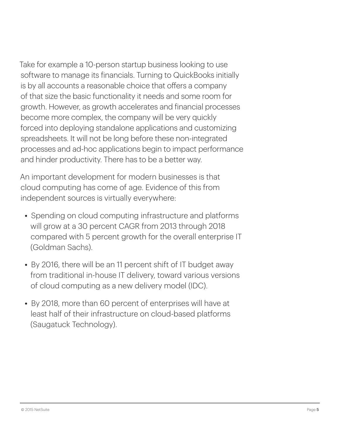Take for example a 10-person startup business looking to use software to manage its financials. Turning to QuickBooks initially is by all accounts a reasonable choice that offers a company of that size the basic functionality it needs and some room for growth. However, as growth accelerates and financial processes become more complex, the company will be very quickly forced into deploying standalone applications and customizing spreadsheets. It will not be long before these non-integrated processes and ad-hoc applications begin to impact performance and hinder productivity. There has to be a better way.

An important development for modern businesses is that cloud computing has come of age. Evidence of this from independent sources is virtually everywhere:

- Spending on cloud computing infrastructure and platforms will grow at a 30 percent CAGR from 2013 through 2018 compared with 5 percent growth for the overall enterprise IT (Goldman Sachs).
- By 2016, there will be an 11 percent shift of IT budget away from traditional in-house IT delivery, toward various versions of cloud computing as a new delivery model (IDC).
- By 2018, more than 60 percent of enterprises will have at least half of their infrastructure on cloud-based platforms (Saugatuck Technology).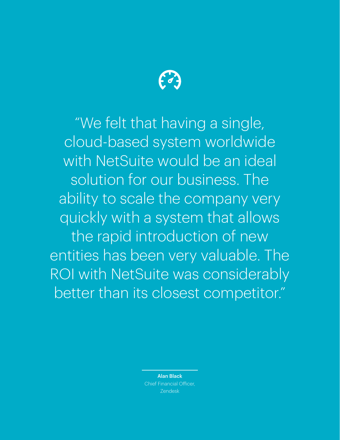

"We felt that having a single, cloud-based system worldwide with NetSuite would be an ideal solution for our business. The ability to scale the company very quickly with a system that allows the rapid introduction of new entities has been very valuable. The ROI with NetSuite was considerably better than its closest competitor."

> Alan Black Chief Financial Officer, Zendesk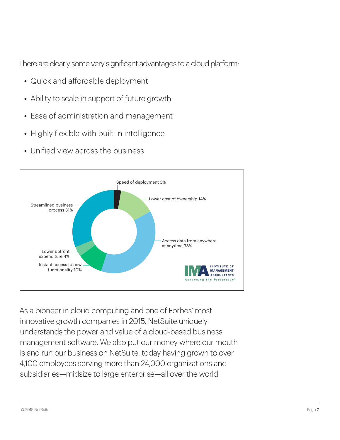There are clearly some very significant advantages to a cloud platform:

- Quick and affordable deployment
- Ability to scale in support of future growth
- Ease of administration and management
- Highly flexible with built-in intelligence
- Unified view across the business



As a pioneer in cloud computing and one of Forbes' most innovative growth companies in 2015, NetSuite uniquely understands the power and value of a cloud-based business management software. We also put our money where our mouth is and run our business on NetSuite, today having grown to over 4,100 employees serving more than 24,000 organizations and subsidiaries—midsize to large enterprise—all over the world.